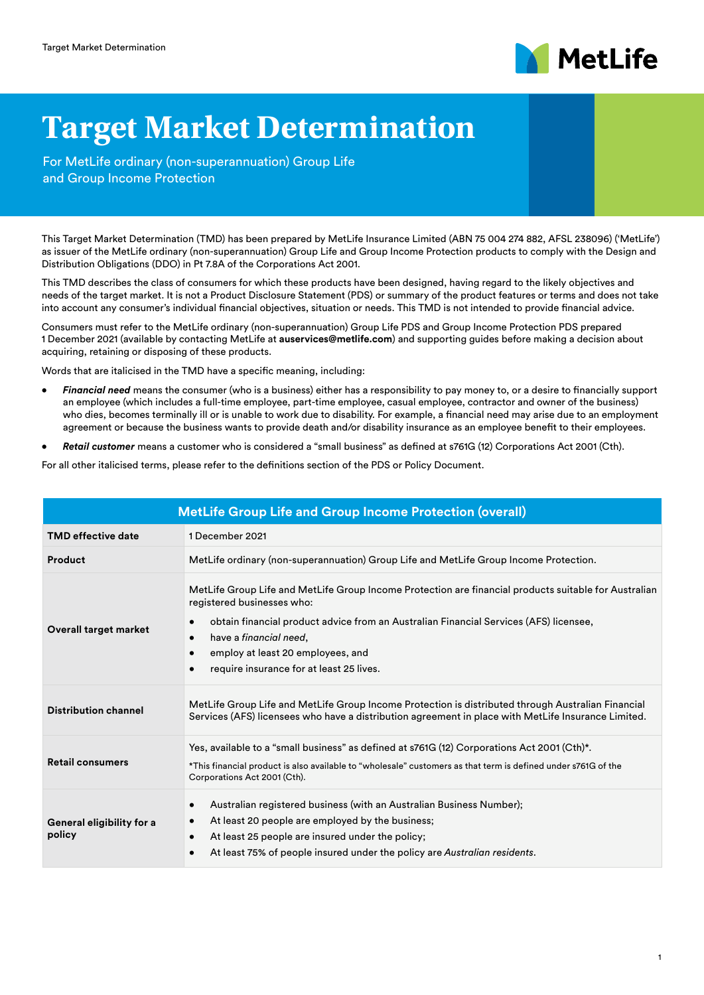

## **Target Market Determination**

For MetLife ordinary (non-superannuation) Group Life and Group Income Protection

This Target Market Determination (TMD) has been prepared by MetLife Insurance Limited (ABN 75 004 274 882, AFSL 238096) ('MetLife') as issuer of the MetLife ordinary (non-superannuation) Group Life and Group Income Protection products to comply with the Design and Distribution Obligations (DDO) in Pt 7.8A of the Corporations Act 2001.

This TMD describes the class of consumers for which these products have been designed, having regard to the likely objectives and needs of the target market. It is not a Product Disclosure Statement (PDS) or summary of the product features or terms and does not take into account any consumer's individual financial objectives, situation or needs. This TMD is not intended to provide financial advice.

Consumers must refer to the MetLife ordinary (non-superannuation) Group Life PDS and Group Income Protection PDS prepared 1 December 2021 (available by contacting MetLife at **[auservices@metlife.com](mailto:auservices%40metlife.com?subject=)**) and supporting guides before making a decision about acquiring, retaining or disposing of these products.

Words that are italicised in the TMD have a specific meaning, including:

- *• Financial need* means the consumer (who is a business) either has a responsibility to pay money to, or a desire to financially support an employee (which includes a full-time employee, part-time employee, casual employee, contractor and owner of the business) who dies, becomes terminally ill or is unable to work due to disability. For example, a financial need may arise due to an employment agreement or because the business wants to provide death and/or disability insurance as an employee benefit to their employees.
- *• Retail customer* means a customer who is considered a "small business" as defined at s761G (12) Corporations Act 2001 (Cth).

For all other italicised terms, please refer to the definitions section of the PDS or Policy Document.

| <b>MetLife Group Life and Group Income Protection (overall)</b> |                                                                                                                                                                                                                                                                                                                                                              |  |  |
|-----------------------------------------------------------------|--------------------------------------------------------------------------------------------------------------------------------------------------------------------------------------------------------------------------------------------------------------------------------------------------------------------------------------------------------------|--|--|
| <b>TMD</b> effective date                                       | 1 December 2021                                                                                                                                                                                                                                                                                                                                              |  |  |
| Product                                                         | MetLife ordinary (non-superannuation) Group Life and MetLife Group Income Protection.                                                                                                                                                                                                                                                                        |  |  |
| <b>Overall target market</b>                                    | MetLife Group Life and MetLife Group Income Protection are financial products suitable for Australian<br>registered businesses who:<br>obtain financial product advice from an Australian Financial Services (AFS) licensee,<br>have a <i>financial need</i> .<br>$\bullet$<br>employ at least 20 employees, and<br>require insurance for at least 25 lives. |  |  |
| <b>Distribution channel</b>                                     | MetLife Group Life and MetLife Group Income Protection is distributed through Australian Financial<br>Services (AFS) licensees who have a distribution agreement in place with MetLife Insurance Limited.                                                                                                                                                    |  |  |
| <b>Retail consumers</b>                                         | Yes, available to a "small business" as defined at s761G (12) Corporations Act 2001 (Cth)*.<br>*This financial product is also available to "wholesale" customers as that term is defined under s761G of the<br>Corporations Act 2001 (Cth).                                                                                                                 |  |  |
| General eligibility for a<br>policy                             | Australian registered business (with an Australian Business Number);<br>$\bullet$<br>At least 20 people are employed by the business;<br>$\bullet$<br>At least 25 people are insured under the policy;<br>$\bullet$<br>At least 75% of people insured under the policy are Australian residents.                                                             |  |  |

1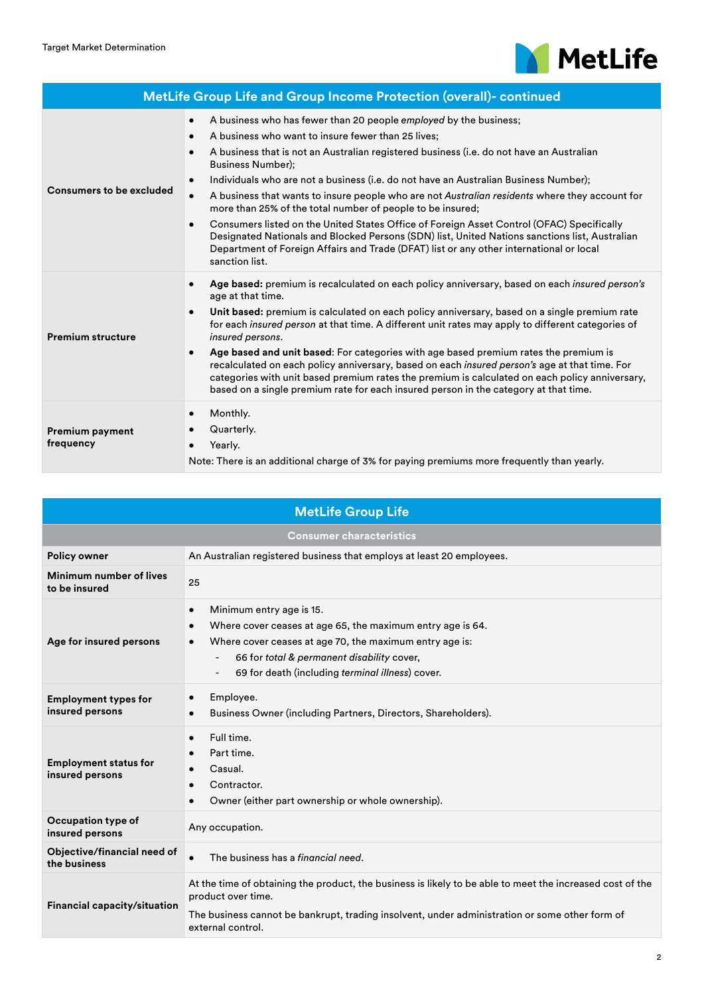

|                                     | MetLife Group Life and Group Income Protection (overall)- continued                                                                                                                                                                                                                                                                                                                                                                                                                                                                                                                                                                                                                                                                                                                                                                                                            |  |
|-------------------------------------|--------------------------------------------------------------------------------------------------------------------------------------------------------------------------------------------------------------------------------------------------------------------------------------------------------------------------------------------------------------------------------------------------------------------------------------------------------------------------------------------------------------------------------------------------------------------------------------------------------------------------------------------------------------------------------------------------------------------------------------------------------------------------------------------------------------------------------------------------------------------------------|--|
| <b>Consumers to be excluded</b>     | A business who has fewer than 20 people employed by the business;<br>$\bullet$<br>A business who want to insure fewer than 25 lives;<br>$\bullet$<br>A business that is not an Australian registered business (i.e. do not have an Australian<br>$\bullet$<br><b>Business Number:</b><br>Individuals who are not a business (i.e. do not have an Australian Business Number);<br>$\bullet$<br>A business that wants to insure people who are not Australian residents where they account for<br>$\bullet$<br>more than 25% of the total number of people to be insured;<br>Consumers listed on the United States Office of Foreign Asset Control (OFAC) Specifically<br>$\bullet$<br>Designated Nationals and Blocked Persons (SDN) list, United Nations sanctions list, Australian<br>Department of Foreign Affairs and Trade (DFAT) list or any other international or local |  |
| <b>Premium structure</b>            | sanction list.<br>Age based: premium is recalculated on each policy anniversary, based on each insured person's<br>age at that time.<br>Unit based: premium is calculated on each policy anniversary, based on a single premium rate<br>$\bullet$<br>for each insured person at that time. A different unit rates may apply to different categories of<br>insured persons.<br>Age based and unit based: For categories with age based premium rates the premium is<br>$\bullet$<br>recalculated on each policy anniversary, based on each insured person's age at that time. For<br>categories with unit based premium rates the premium is calculated on each policy anniversary,<br>based on a single premium rate for each insured person in the category at that time.                                                                                                     |  |
| <b>Premium payment</b><br>frequency | Monthly.<br>$\bullet$<br>Quarterly.<br>Yearly.<br>$\bullet$<br>Note: There is an additional charge of 3% for paying premiums more frequently than yearly.                                                                                                                                                                                                                                                                                                                                                                                                                                                                                                                                                                                                                                                                                                                      |  |

| <b>MetLife Group Life</b>                       |                                                                                                                                                                                                                                                                               |  |  |  |
|-------------------------------------------------|-------------------------------------------------------------------------------------------------------------------------------------------------------------------------------------------------------------------------------------------------------------------------------|--|--|--|
| <b>Consumer characteristics</b>                 |                                                                                                                                                                                                                                                                               |  |  |  |
| <b>Policy owner</b>                             | An Australian registered business that employs at least 20 employees.                                                                                                                                                                                                         |  |  |  |
| Minimum number of lives<br>to be insured        | 25                                                                                                                                                                                                                                                                            |  |  |  |
| Age for insured persons                         | Minimum entry age is 15.<br>$\bullet$<br>Where cover ceases at age 65, the maximum entry age is 64.<br>$\bullet$<br>Where cover ceases at age 70, the maximum entry age is:<br>66 for total & permanent disability cover,<br>69 for death (including terminal illness) cover. |  |  |  |
| <b>Employment types for</b><br>insured persons  | Employee.<br>Business Owner (including Partners, Directors, Shareholders).                                                                                                                                                                                                    |  |  |  |
| <b>Employment status for</b><br>insured persons | Full time.<br>$\bullet$<br>Part time.<br>Casual.<br>Contractor.<br>Owner (either part ownership or whole ownership).                                                                                                                                                          |  |  |  |
| Occupation type of<br>insured persons           | Any occupation.                                                                                                                                                                                                                                                               |  |  |  |
| Objective/financial need of<br>the business     | The business has a financial need.<br>$\bullet$                                                                                                                                                                                                                               |  |  |  |
| Financial capacity/situation                    | At the time of obtaining the product, the business is likely to be able to meet the increased cost of the<br>product over time.<br>The business cannot be bankrupt, trading insolvent, under administration or some other form of<br>external control.                        |  |  |  |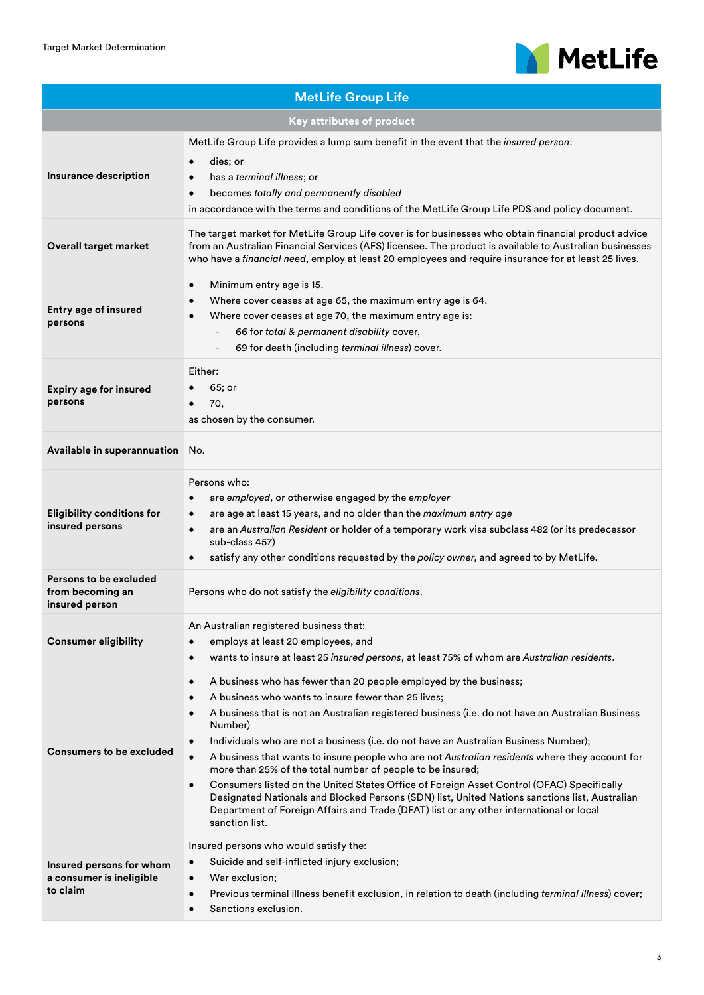

| <b>MetLife Group Life</b>                                        |                                                                                                                                                                                                                                                                                                                                                                                                                                                                                                                                                                                                                                                                                                                                                                                                                                                                               |  |  |  |
|------------------------------------------------------------------|-------------------------------------------------------------------------------------------------------------------------------------------------------------------------------------------------------------------------------------------------------------------------------------------------------------------------------------------------------------------------------------------------------------------------------------------------------------------------------------------------------------------------------------------------------------------------------------------------------------------------------------------------------------------------------------------------------------------------------------------------------------------------------------------------------------------------------------------------------------------------------|--|--|--|
| Key attributes of product                                        |                                                                                                                                                                                                                                                                                                                                                                                                                                                                                                                                                                                                                                                                                                                                                                                                                                                                               |  |  |  |
| Insurance description                                            | MetLife Group Life provides a lump sum benefit in the event that the <i>insured person</i> :<br>dies; or<br>$\bullet$<br>has a terminal illness; or<br>becomes totally and permanently disabled<br>$\bullet$<br>in accordance with the terms and conditions of the MetLife Group Life PDS and policy document.                                                                                                                                                                                                                                                                                                                                                                                                                                                                                                                                                                |  |  |  |
| Overall target market                                            | The target market for MetLife Group Life cover is for businesses who obtain financial product advice<br>from an Australian Financial Services (AFS) licensee. The product is available to Australian businesses<br>who have a financial need, employ at least 20 employees and require insurance for at least 25 lives.                                                                                                                                                                                                                                                                                                                                                                                                                                                                                                                                                       |  |  |  |
| <b>Entry age of insured</b><br>persons                           | Minimum entry age is 15.<br>$\bullet$<br>Where cover ceases at age 65, the maximum entry age is 64.<br>$\bullet$<br>Where cover ceases at age 70, the maximum entry age is:<br>66 for total & permanent disability cover,<br>69 for death (including terminal illness) cover.<br>$\overline{\phantom{a}}$                                                                                                                                                                                                                                                                                                                                                                                                                                                                                                                                                                     |  |  |  |
| <b>Expiry age for insured</b><br>persons                         | Either:<br>65; or<br>70,<br>as chosen by the consumer.                                                                                                                                                                                                                                                                                                                                                                                                                                                                                                                                                                                                                                                                                                                                                                                                                        |  |  |  |
| Available in superannuation                                      | No.                                                                                                                                                                                                                                                                                                                                                                                                                                                                                                                                                                                                                                                                                                                                                                                                                                                                           |  |  |  |
| <b>Eligibility conditions for</b><br>insured persons             | Persons who:<br>are employed, or otherwise engaged by the employer<br>$\bullet$<br>are age at least 15 years, and no older than the maximum entry age<br>$\bullet$<br>are an Australian Resident or holder of a temporary work visa subclass 482 (or its predecessor<br>sub-class 457)<br>satisfy any other conditions requested by the policy owner, and agreed to by MetLife.<br>$\bullet$                                                                                                                                                                                                                                                                                                                                                                                                                                                                                  |  |  |  |
| Persons to be excluded<br>from becoming an<br>insured person     | Persons who do not satisfy the eligibility conditions.                                                                                                                                                                                                                                                                                                                                                                                                                                                                                                                                                                                                                                                                                                                                                                                                                        |  |  |  |
| <b>Consumer eligibility</b>                                      | An Australian registered business that:<br>employs at least 20 employees, and<br>$\bullet$<br>wants to insure at least 25 insured persons, at least 75% of whom are Australian residents.<br>$\bullet$                                                                                                                                                                                                                                                                                                                                                                                                                                                                                                                                                                                                                                                                        |  |  |  |
| <b>Consumers to be excluded</b>                                  | A business who has fewer than 20 people employed by the business;<br>$\bullet$<br>A business who wants to insure fewer than 25 lives;<br>$\bullet$<br>A business that is not an Australian registered business (i.e. do not have an Australian Business<br>$\bullet$<br>Number)<br>Individuals who are not a business (i.e. do not have an Australian Business Number);<br>A business that wants to insure people who are not Australian residents where they account for<br>$\bullet$<br>more than 25% of the total number of people to be insured;<br>Consumers listed on the United States Office of Foreign Asset Control (OFAC) Specifically<br>$\bullet$<br>Designated Nationals and Blocked Persons (SDN) list, United Nations sanctions list, Australian<br>Department of Foreign Affairs and Trade (DFAT) list or any other international or local<br>sanction list. |  |  |  |
| Insured persons for whom<br>a consumer is ineligible<br>to claim | Insured persons who would satisfy the:<br>Suicide and self-inflicted injury exclusion;<br>$\bullet$<br>War exclusion;<br>$\bullet$<br>Previous terminal illness benefit exclusion, in relation to death (including terminal illness) cover;<br>$\bullet$<br>Sanctions exclusion.<br>$\bullet$                                                                                                                                                                                                                                                                                                                                                                                                                                                                                                                                                                                 |  |  |  |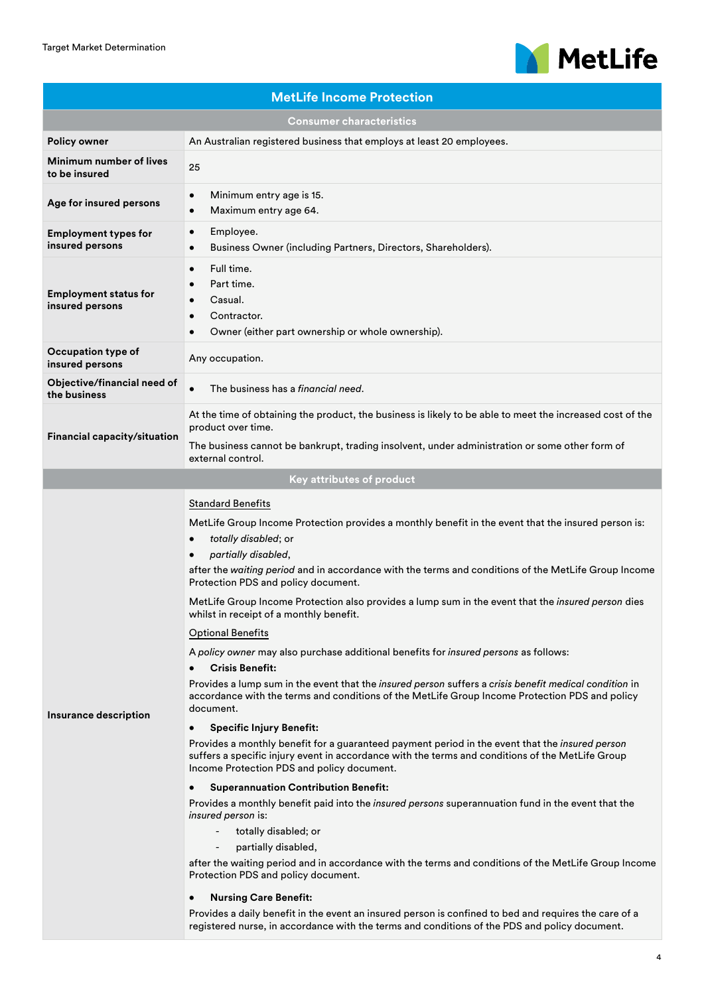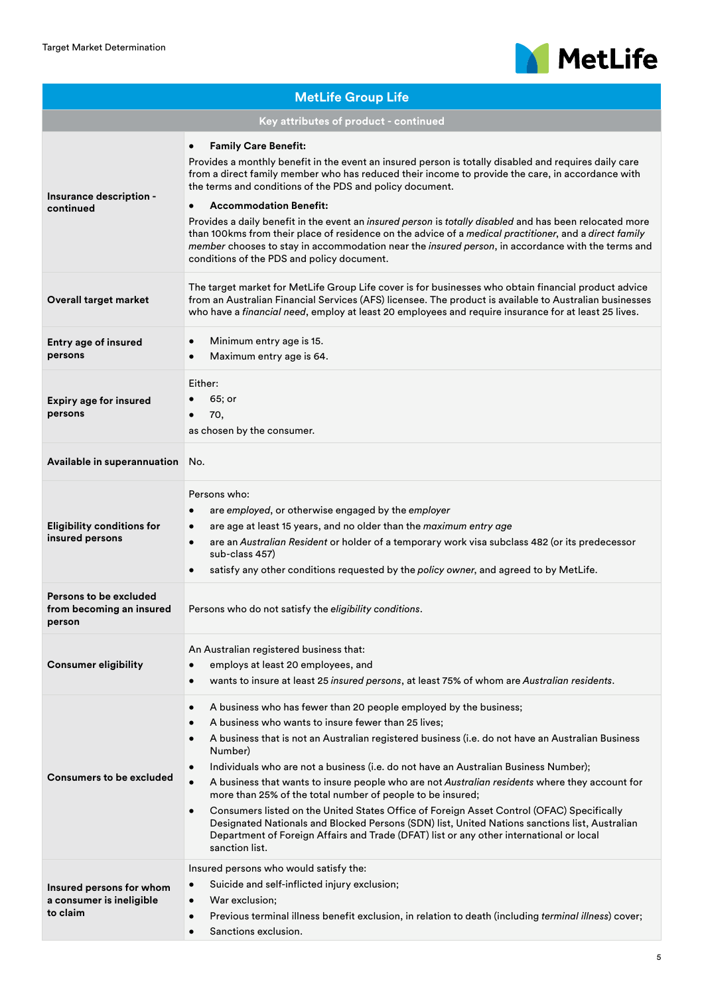

| <b>MetLife Group Life</b>                                        |                                                                                                                                                                                                                                                                                                                                                                                                                                                                                                                                                                                                                                                                                                                                                                                                                                                     |  |  |  |
|------------------------------------------------------------------|-----------------------------------------------------------------------------------------------------------------------------------------------------------------------------------------------------------------------------------------------------------------------------------------------------------------------------------------------------------------------------------------------------------------------------------------------------------------------------------------------------------------------------------------------------------------------------------------------------------------------------------------------------------------------------------------------------------------------------------------------------------------------------------------------------------------------------------------------------|--|--|--|
| Key attributes of product - continued                            |                                                                                                                                                                                                                                                                                                                                                                                                                                                                                                                                                                                                                                                                                                                                                                                                                                                     |  |  |  |
| Insurance description -<br>continued                             | <b>Family Care Benefit:</b><br>$\bullet$<br>Provides a monthly benefit in the event an insured person is totally disabled and requires daily care<br>from a direct family member who has reduced their income to provide the care, in accordance with<br>the terms and conditions of the PDS and policy document.<br><b>Accommodation Benefit:</b><br>$\bullet$<br>Provides a daily benefit in the event an insured person is totally disabled and has been relocated more<br>than 100kms from their place of residence on the advice of a medical practitioner, and a direct family<br>member chooses to stay in accommodation near the <i>insured person</i> , in accordance with the terms and<br>conditions of the PDS and policy document.                                                                                                     |  |  |  |
| <b>Overall target market</b>                                     | The target market for MetLife Group Life cover is for businesses who obtain financial product advice<br>from an Australian Financial Services (AFS) licensee. The product is available to Australian businesses<br>who have a financial need, employ at least 20 employees and require insurance for at least 25 lives.                                                                                                                                                                                                                                                                                                                                                                                                                                                                                                                             |  |  |  |
| <b>Entry age of insured</b><br>persons                           | Minimum entry age is 15.<br>$\bullet$<br>Maximum entry age is 64.                                                                                                                                                                                                                                                                                                                                                                                                                                                                                                                                                                                                                                                                                                                                                                                   |  |  |  |
| <b>Expiry age for insured</b><br>persons                         | Either:<br>65; or<br>70,<br>as chosen by the consumer.                                                                                                                                                                                                                                                                                                                                                                                                                                                                                                                                                                                                                                                                                                                                                                                              |  |  |  |
| Available in superannuation                                      | No.                                                                                                                                                                                                                                                                                                                                                                                                                                                                                                                                                                                                                                                                                                                                                                                                                                                 |  |  |  |
| <b>Eligibility conditions for</b><br>insured persons             | Persons who:<br>are employed, or otherwise engaged by the employer<br>$\bullet$<br>are age at least 15 years, and no older than the maximum entry age<br>$\bullet$<br>are an Australian Resident or holder of a temporary work visa subclass 482 (or its predecessor<br>sub-class 457)<br>satisfy any other conditions requested by the policy owner, and agreed to by MetLife.                                                                                                                                                                                                                                                                                                                                                                                                                                                                     |  |  |  |
| Persons to be excluded<br>from becoming an insured<br>person     | Persons who do not satisfy the eligibility conditions.                                                                                                                                                                                                                                                                                                                                                                                                                                                                                                                                                                                                                                                                                                                                                                                              |  |  |  |
| <b>Consumer eligibility</b>                                      | An Australian registered business that:<br>employs at least 20 employees, and<br>$\bullet$<br>wants to insure at least 25 insured persons, at least 75% of whom are Australian residents.<br>$\bullet$                                                                                                                                                                                                                                                                                                                                                                                                                                                                                                                                                                                                                                              |  |  |  |
| <b>Consumers to be excluded</b>                                  | A business who has fewer than 20 people employed by the business;<br>$\bullet$<br>A business who wants to insure fewer than 25 lives;<br>$\bullet$<br>A business that is not an Australian registered business (i.e. do not have an Australian Business<br>Number)<br>Individuals who are not a business (i.e. do not have an Australian Business Number);<br>A business that wants to insure people who are not Australian residents where they account for<br>more than 25% of the total number of people to be insured;<br>Consumers listed on the United States Office of Foreign Asset Control (OFAC) Specifically<br>$\bullet$<br>Designated Nationals and Blocked Persons (SDN) list, United Nations sanctions list, Australian<br>Department of Foreign Affairs and Trade (DFAT) list or any other international or local<br>sanction list. |  |  |  |
| Insured persons for whom<br>a consumer is ineligible<br>to claim | Insured persons who would satisfy the:<br>Suicide and self-inflicted injury exclusion;<br>$\bullet$<br>War exclusion;<br>$\bullet$<br>Previous terminal illness benefit exclusion, in relation to death (including terminal illness) cover;<br>$\bullet$<br>Sanctions exclusion.<br>$\bullet$                                                                                                                                                                                                                                                                                                                                                                                                                                                                                                                                                       |  |  |  |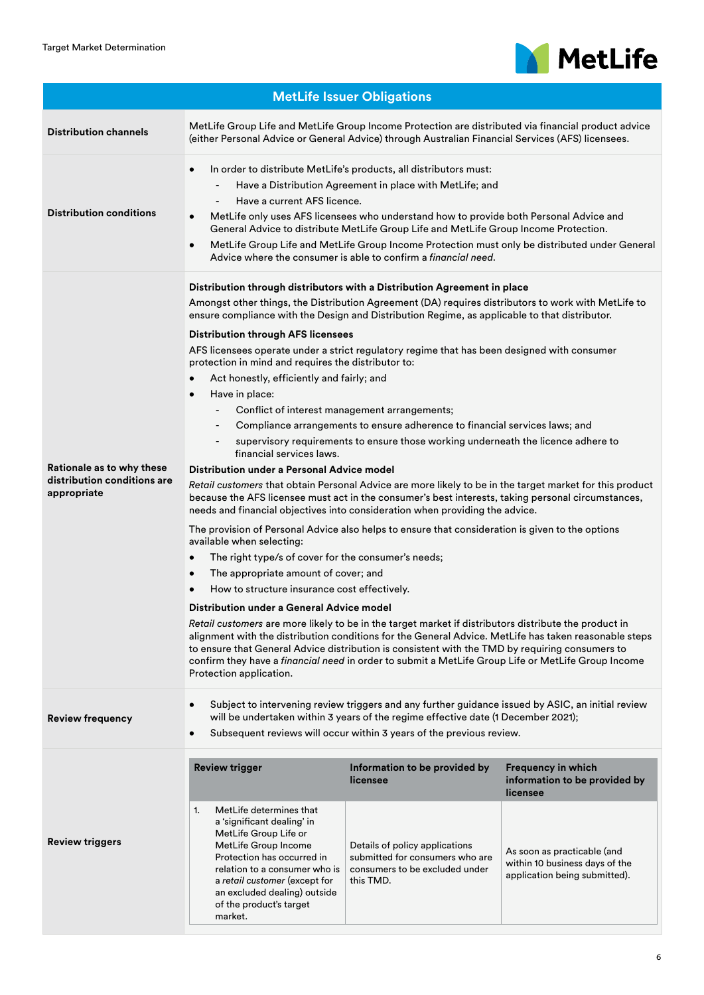

| <b>MetLife Issuer Obligations</b>                                       |                                                                                                                                                                                                                                                                                                                                                                                                                                                                                                                                                                                                                                                                                                                                                                                                                                                                                                                                                                                                                                                                                                                                                                                                                                                                                                                                                                                                                                                                                                                                                                                                                                                                                                                                                                                                                                                                                                                                                                                                                                                      |                                                                                                                                                               |                                                                                                                                                                          |  |
|-------------------------------------------------------------------------|------------------------------------------------------------------------------------------------------------------------------------------------------------------------------------------------------------------------------------------------------------------------------------------------------------------------------------------------------------------------------------------------------------------------------------------------------------------------------------------------------------------------------------------------------------------------------------------------------------------------------------------------------------------------------------------------------------------------------------------------------------------------------------------------------------------------------------------------------------------------------------------------------------------------------------------------------------------------------------------------------------------------------------------------------------------------------------------------------------------------------------------------------------------------------------------------------------------------------------------------------------------------------------------------------------------------------------------------------------------------------------------------------------------------------------------------------------------------------------------------------------------------------------------------------------------------------------------------------------------------------------------------------------------------------------------------------------------------------------------------------------------------------------------------------------------------------------------------------------------------------------------------------------------------------------------------------------------------------------------------------------------------------------------------------|---------------------------------------------------------------------------------------------------------------------------------------------------------------|--------------------------------------------------------------------------------------------------------------------------------------------------------------------------|--|
| <b>Distribution channels</b>                                            | MetLife Group Life and MetLife Group Income Protection are distributed via financial product advice<br>(either Personal Advice or General Advice) through Australian Financial Services (AFS) licensees.                                                                                                                                                                                                                                                                                                                                                                                                                                                                                                                                                                                                                                                                                                                                                                                                                                                                                                                                                                                                                                                                                                                                                                                                                                                                                                                                                                                                                                                                                                                                                                                                                                                                                                                                                                                                                                             |                                                                                                                                                               |                                                                                                                                                                          |  |
| <b>Distribution conditions</b>                                          | In order to distribute MetLife's products, all distributors must:<br>Have a Distribution Agreement in place with MetLife; and<br>$\overline{\phantom{0}}$<br>Have a current AFS licence.<br>MetLife only uses AFS licensees who understand how to provide both Personal Advice and<br>General Advice to distribute MetLife Group Life and MetLife Group Income Protection.<br>MetLife Group Life and MetLife Group Income Protection must only be distributed under General<br>Advice where the consumer is able to confirm a financial need.                                                                                                                                                                                                                                                                                                                                                                                                                                                                                                                                                                                                                                                                                                                                                                                                                                                                                                                                                                                                                                                                                                                                                                                                                                                                                                                                                                                                                                                                                                        |                                                                                                                                                               |                                                                                                                                                                          |  |
| Rationale as to why these<br>distribution conditions are<br>appropriate | Distribution through distributors with a Distribution Agreement in place<br>Amongst other things, the Distribution Agreement (DA) requires distributors to work with MetLife to<br>ensure compliance with the Design and Distribution Regime, as applicable to that distributor.<br><b>Distribution through AFS licensees</b><br>AFS licensees operate under a strict regulatory regime that has been designed with consumer<br>protection in mind and requires the distributor to:<br>Act honestly, efficiently and fairly; and<br>Have in place:<br>Conflict of interest management arrangements;<br>$\overline{\phantom{a}}$<br>Compliance arrangements to ensure adherence to financial services laws; and<br>$\overline{\phantom{a}}$<br>supervisory requirements to ensure those working underneath the licence adhere to<br>$\overline{\phantom{a}}$<br>financial services laws.<br>Distribution under a Personal Advice model<br>Retail customers that obtain Personal Advice are more likely to be in the target market for this product<br>because the AFS licensee must act in the consumer's best interests, taking personal circumstances,<br>needs and financial objectives into consideration when providing the advice.<br>The provision of Personal Advice also helps to ensure that consideration is given to the options<br>available when selecting:<br>The right type/s of cover for the consumer's needs;<br>The appropriate amount of cover; and<br>$\bullet$<br>How to structure insurance cost effectively.<br>$\bullet$<br>Distribution under a General Advice model<br>Retail customers are more likely to be in the target market if distributors distribute the product in<br>alignment with the distribution conditions for the General Advice. MetLife has taken reasonable steps<br>to ensure that General Advice distribution is consistent with the TMD by requiring consumers to<br>confirm they have a financial need in order to submit a MetLife Group Life or MetLife Group Income<br>Protection application. |                                                                                                                                                               |                                                                                                                                                                          |  |
| <b>Review frequency</b>                                                 | Subject to intervening review triggers and any further guidance issued by ASIC, an initial review<br>$\bullet$<br>will be undertaken within 3 years of the regime effective date (1 December 2021);<br>Subsequent reviews will occur within 3 years of the previous review.                                                                                                                                                                                                                                                                                                                                                                                                                                                                                                                                                                                                                                                                                                                                                                                                                                                                                                                                                                                                                                                                                                                                                                                                                                                                                                                                                                                                                                                                                                                                                                                                                                                                                                                                                                          |                                                                                                                                                               |                                                                                                                                                                          |  |
| <b>Review triggers</b>                                                  | <b>Review trigger</b><br>MetLife determines that<br>1.<br>a 'significant dealing' in<br>MetLife Group Life or<br>MetLife Group Income<br>Protection has occurred in<br>relation to a consumer who is<br>a retail customer (except for<br>an excluded dealing) outside<br>of the product's target<br>market.                                                                                                                                                                                                                                                                                                                                                                                                                                                                                                                                                                                                                                                                                                                                                                                                                                                                                                                                                                                                                                                                                                                                                                                                                                                                                                                                                                                                                                                                                                                                                                                                                                                                                                                                          | Information to be provided by<br>licensee<br>Details of policy applications<br>submitted for consumers who are<br>consumers to be excluded under<br>this TMD. | <b>Frequency in which</b><br>information to be provided by<br>licensee<br>As soon as practicable (and<br>within 10 business days of the<br>application being submitted). |  |